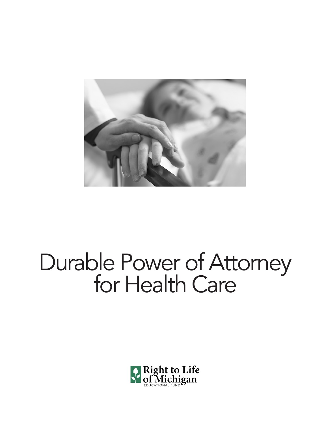

# Durable Power of Attorney<br>for Health Care

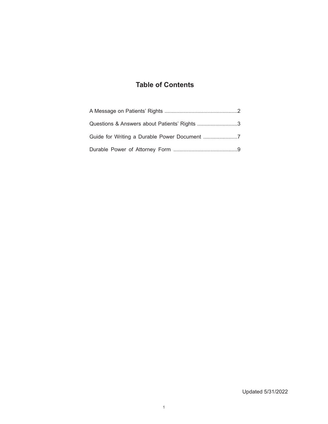## **Table of Contents**

| Questions & Answers about Patients' Rights 3 |
|----------------------------------------------|
|                                              |
|                                              |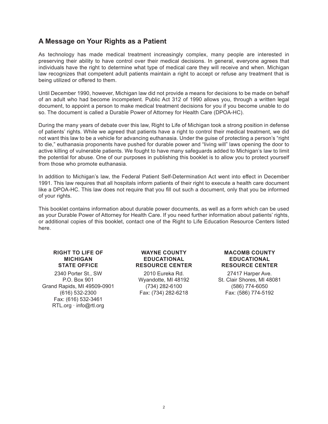### **A Message on Your Rights as a Patient**

As technology has made medical treatment increasingly complex, many people are interested in preserving their ability to have control over their medical decisions. In general, everyone agrees that individuals have the right to determine what type of medical care they will receive and when. Michigan law recognizes that competent adult patients maintain a right to accept or refuse any treatment that is being utilized or offered to them.

Until December 1990, however, Michigan law did not provide a means for decisions to be made on behalf of an adult who had become incompetent. Public Act 312 of 1990 allows you, through a written legal document, to appoint a person to make medical treatment decisions for you if you become unable to do so. The document is called a Durable Power of Attorney for Health Care (DPOA-HC).

During the many years of debate over this law, Right to Life of Michigan took a strong position in defense of patients' rights. While we agreed that patients have a right to control their medical treatment, we did not want this law to be a vehicle for advancing euthanasia. Under the guise of protecting a person's "right to die," euthanasia proponents have pushed for durable power and "living will" laws opening the door to active killing of vulnerable patients. We fought to have many safeguards added to Michigan's law to limit the potential for abuse. One of our purposes in publishing this booklet is to allow you to protect yourself from those who promote euthanasia.

In addition to Michigan's law, the Federal Patient Self-Determination Act went into effect in December 1991. This law requires that all hospitals inform patients of their right to execute a health care document like a DPOA-HC. This law does not require that you fill out such a document, only that you be informed of your rights.

This booklet contains information about durable power documents, as well as a form which can be used as your Durable Power of Attorney for Health Care. If you need further information about patients' rights, or additional copies of this booklet, contact one of the Right to Life Education Resource Centers listed here.

#### **RIGHT TO LIFE OF MICHIGAN STATE OFFICE**

2340 Porter St., SW P.O. Box 901 Grand Rapids, MI 49509-0901 (616) 532-2300 Fax: (616) 532-3461 RTL.org · info@rtl.org

#### **WAYNE COUNTY EDUCATIONAL RESOURCE CENTER**

2010 Eureka Rd. Wyandotte, MI 48192 (734) 282-6100 Fax: (734) 282-6218

#### **MACOMB COUNTY EDUCATIONAL RESOURCE CENTER**

27417 Harper Ave. St. Clair Shores, MI 48081 (586) 774-6050 Fax: (586) 774-5192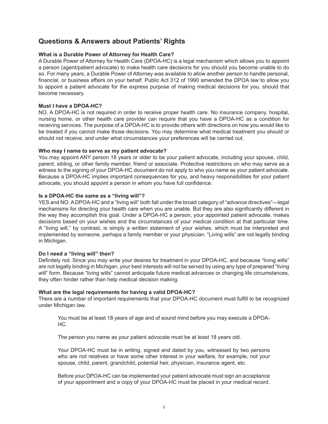## **Questions & Answers about Patients' Rights**

#### **What is a Durable Power of Attorney for Health Care?**

A Durable Power of Attorney for Health Care (DPOA-HC) is a legal mechanism which allows you to appoint a person (agent/patient advocate) to make health care decisions for you should you become unable to do so. For many years, a Durable Power of Attorney was available to allow another person to handle personal, financial, or business affairs on your behalf. Public Act 312 of 1990 amended the DPOA law to allow you to appoint a patient advocate for the express purpose of making medical decisions for you, should that become necessary.

#### **Must I have a DPOA-HC?**

NO. A DPOA-HC is not required in order to receive proper health care. No insurance company, hospital, nursing home, or other health care provider can require that you have a DPOA-HC as a condition for receiving services. The purpose of a DPOA-HC is to provide others with directions on how you would like to be treated if you cannot make those decisions. You may determine what medical treatment you should or should not receive, and under what circumstances your preferences will be carried out.

#### **Who may I name to serve as my patient advocate?**

You may appoint ANY person 18 years or older to be your patient advocate, including your spouse, child, parent, sibling, or other family member, friend or associate. Protective restrictions on who may serve as a witness to the signing of your DPOA-HC document do not apply to who you name as your patient advocate. Because a DPOA-HC implies important consequences for you, and heavy responsibilities for your patient advocate, you should appoint a person in whom you have full confidence.

#### **Is a DPOA-HC the same as a "living will"?**

YES and NO. A DPOA-HC and a "living will" both fall under the broad category of "advance directives"—legal mechanisms for directing your health care when you are unable. But they are also significantly different in the way they accomplish this goal. Under a DPOA-HC a person, your appointed patient advocate, makes decisions based on your wishes and the circumstances of your medical condition at that particular time. A "living will," by contrast, is simply a written statement of your wishes, which must be interpreted and implemented by someone, perhaps a family member or your physician. "Living wills" are not legally binding in Michigan.

#### **Do I need a "living will" then?**

Definitely not. Since you may write your desires for treatment in your DPOA-HC, and because "living wills" are not legally binding in Michigan, your best interests will not be served by using any type of prepared "living will" form. Because "living wills" cannot anticipate future medical advances or changing life circumstances, they often hinder rather than help medical decision making.

#### **What are the legal requirements for having a valid DPOA-HC?**

There are a number of important requirements that your DPOA-HC document must fulfill to be recognized under Michigan law.

You must be at least 18 years of age and of sound mind before you may execute a DPOA-HC.

The person you name as your patient advocate must be at least 18 years old.

Your DPOA-HC must be in writing, signed and dated by you, witnessed by two persons who are not relatives or have some other interest in your welfare, for example, not your spouse, child, parent, grandchild, potential heir, physician, insurance agent, etc.

Before your DPOA-HC can be implemented your patient advocate must sign an acceptance of your appointment and a copy of your DPOA-HC must be placed in your medical record.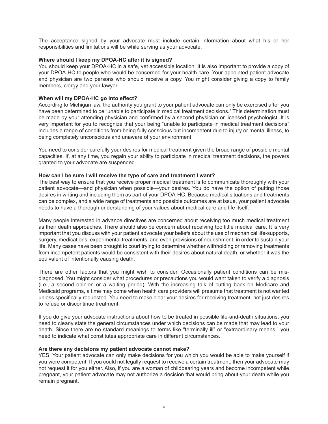The acceptance signed by your advocate must include certain information about what his or her responsibilities and limitations will be while serving as your advocate.

#### **Where should I keep my DPOA-HC after it is signed?**

You should keep your DPOA-HC in a safe, yet accessible location. It is also important to provide a copy of your DPOA-HC to people who would be concerned for your health care. Your appointed patient advocate and physician are two persons who should receive a copy. You might consider giving a copy to family members, clergy and your lawyer.

#### **When will my DPOA-HC go into effect?**

According to Michigan law, the authority you grant to your patient advocate can only be exercised after you have been determined to be "unable to participate in medical treatment decisions." This determination must be made by your attending physician and confirmed by a second physician or licensed psychologist. It is very important for you to recognize that your being "unable to participate in medical treatment decisions" includes a range of conditions from being fully conscious but incompetent due to injury or mental illness, to being completely unconscious and unaware of your environment.

You need to consider carefully your desires for medical treatment given the broad range of possible mental capacities. If, at any time, you regain your ability to participate in medical treatment decisions, the powers granted to your advocate are suspended.

#### **How can I be sure I will receive the type of care and treatment I want?**

The best way to ensure that you receive proper medical treatment is to communicate thoroughly with your patient advocate—and physician when possible—your desires. You do have the option of putting those desires in writing and including them as part of your DPOA-HC. Because medical situations and treatments can be complex, and a wide range of treatments and possible outcomes are at issue, your patient advocate needs to have a thorough understanding of your values about medical care and life itself.

Many people interested in advance directives are concerned about receiving too much medical treatment as their death approaches. There should also be concern about receiving too little medical care. It is very important that you discuss with your patient advocate your beliefs about the use of mechanical life-supports, surgery, medications, experimental treatments, and even provisions of nourishment, in order to sustain your life. Many cases have been brought to court trying to determine whether withholding or removing treatments from incompetent patients would be consistent with their desires about natural death, or whether it was the equivalent of intentionally causing death.

There are other factors that you might wish to consider. Occasionally patient conditions can be misdiagnosed. You might consider what procedures or precautions you would want taken to verify a diagnosis (i.e., a second opinion or a waiting period). With the increasing talk of cutting back on Medicare and Medicaid programs, a time may come when health care providers will presume that treatment is not wanted unless specifically requested. You need to make clear your desires for receiving treatment, not just desires to refuse or discontinue treatment.

If you do give your advocate instructions about how to be treated in possible life-and-death situations, you need to clearly state the general circumstances under which decisions can be made that may lead to your death. Since there are no standard meanings to terms like "terminally ill" or "extraordinary means," you need to indicate what constitutes appropriate care in different circumstances.

#### **Are there any decisions my patient advocate cannot make?**

YES. Your patient advocate can only make decisions for you which you would be able to make yourself if you were competent. If you could not legally request to receive a certain treatment, then your advocate may not request it for you either. Also, if you are a woman of childbearing years and become incompetent while pregnant, your patient advocate may not authorize a decision that would bring about your death while you remain pregnant.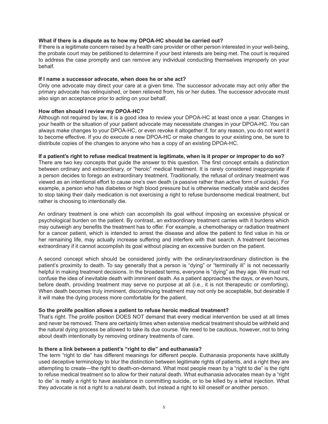#### **What if there is a dispute as to how my DPOA-HC should be carried out?**

If there is a legitimate concern raised by a health care provider or other person interested in your well-being, the probate court may be petitioned to determine if your best interests are being met. The court is required to address the case promptly and can remove any individual conducting themselves improperly on your behalf.

#### **If I name a successor advocate, when does he or she act?**

Only one advocate may direct your care at a given time. The successor advocate may act only after the primary advocate has relinquished, or been relieved from, his or her duties. The successor advocate must also sign an acceptance prior to acting on your behalf.

#### **How often should I review my DPOA-HC?**

Although not required by law, it is a good idea to review your DPOA-HC at least once a year. Changes in your health or the situation of your patient advocate may necessitate changes in your DPOA-HC. You can always make changes to your DPOA-HC, or even revoke it altogether if, for any reason, you do not want it to become effective. If you do execute a new DPOA-HC or make changes to your existing one, be sure to distribute copies of the changes to anyone who has a copy of an existing DPOA-HC.

#### **If a patient's right to refuse medical treatment is legitimate, when is it proper or improper to do so?**

There are two key concepts that guide the answer to this question. The first concept entails a distinction between ordinary and extraordinary, or "heroic" medical treatment. It is rarely considered inappropriate if a person decides to forego an extraordinary treatment. Traditionally, the refusal of ordinary treatment was viewed as an intentional effort to cause one's own death (a passive rather than active form of suicide). For example, a person who has diabetes or high blood pressure but is otherwise medically stable and decides to stop taking their daily medication is not exercising a right to refuse burdensome medical treatment, but rather is choosing to intentionally die.

An ordinary treatment is one which can accomplish its goal without imposing an excessive physical or psychological burden on the patient. By contrast, an extraordinary treatment carries with it burdens which may outweigh any benefits the treatment has to offer. For example, a chemotherapy or radiation treatment for a cancer patient, which is intended to arrest the disease and allow the patient to find value in his or her remaining life, may actually increase suffering and interfere with that search. A treatment becomes extraordinary if it cannot accomplish its goal without placing an excessive burden on the patient.

A second concept which should be considered jointly with the ordinary/extraordinary distinction is the patient's proximity to death. To say generally that a person is "dying" or "terminally ill" is not necessarily helpful in making treatment decisions. In the broadest terms, everyone is "dying" as they age. We must not confuse the idea of inevitable death with imminent death. As a patient approaches the days, or even hours, before death, providing treatment may serve no purpose at all (i.e., it is not therapeutic or comforting). When death becomes truly imminent, discontinuing treatment may not only be acceptable, but desirable if it will make the dying process more comfortable for the patient.

#### **So the prolife position allows a patient to refuse heroic medical treatment?**

That's right. The prolife position DOES NOT demand that every medical intervention be used at all times and never be removed. There are certainly times when extensive medical treatment should be withheld and the natural dying process be allowed to take its due course. We need to be cautious, however, not to bring about death intentionally by removing ordinary treatments of care.

#### **Is there a link between a patient's "right to die" and euthanasia?**

The term "right to die" has different meanings for different people. Euthanasia proponents have skillfully used deceptive terminology to blur the distinction between legitimate rights of patients, and a right they are attempting to create—the right to death-on-demand. What most people mean by a "right to die" is the right to refuse medical treatment so to allow for their natural death. What euthanasia advocates mean by a "right to die" is really a right to have assistance in committing suicide, or to be killed by a lethal injection. What they advocate is not a right to a natural death, but instead a right to kill oneself or another person.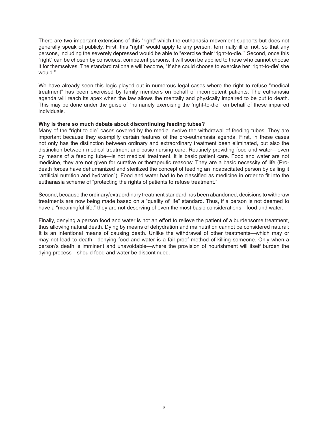There are two important extensions of this "right" which the euthanasia movement supports but does not generally speak of publicly. First, this "right" would apply to any person, terminally ill or not, so that any persons, including the severely depressed would be able to "exercise their 'right-to-die.'" Second, once this "right" can be chosen by conscious, competent persons, it will soon be applied to those who cannot choose it for themselves. The standard rationale will become, "If she could choose to exercise her 'right-to-die' she would."

We have already seen this logic played out in numerous legal cases where the right to refuse "medical treatment" has been exercised by family members on behalf of incompetent patients. The euthanasia agenda will reach its apex when the law allows the mentally and physically impaired to be put to death. This may be done under the guise of "humanely exercising the 'right-to-die'" on behalf of these impaired individuals.

#### **Why is there so much debate about discontinuing feeding tubes?**

Many of the "right to die" cases covered by the media involve the withdrawal of feeding tubes. They are important because they exemplify certain features of the pro-euthanasia agenda. First, in these cases not only has the distinction between ordinary and extraordinary treatment been eliminated, but also the distinction between medical treatment and basic nursing care. Routinely providing food and water—even by means of a feeding tube—is not medical treatment, it is basic patient care. Food and water are not medicine, they are not given for curative or therapeutic reasons: They are a basic necessity of life (Prodeath forces have dehumanized and sterilized the concept of feeding an incapacitated person by calling it "artificial nutrition and hydration"). Food and water had to be classified as medicine in order to fit into the euthanasia scheme of "protecting the rights of patients to refuse treatment."

Second, because the ordinary/extraordinary treatment standard has been abandoned, decisions to withdraw treatments are now being made based on a "quality of life" standard. Thus, if a person is not deemed to have a "meaningful life," they are not deserving of even the most basic considerations—food and water.

Finally, denying a person food and water is not an effort to relieve the patient of a burdensome treatment, thus allowing natural death. Dying by means of dehydration and malnutrition cannot be considered natural: It is an intentional means of causing death. Unlike the withdrawal of other treatments—which may or may not lead to death—denying food and water is a fail proof method of killing someone. Only when a person's death is imminent and unavoidable—where the provision of nourishment will itself burden the dying process—should food and water be discontinued.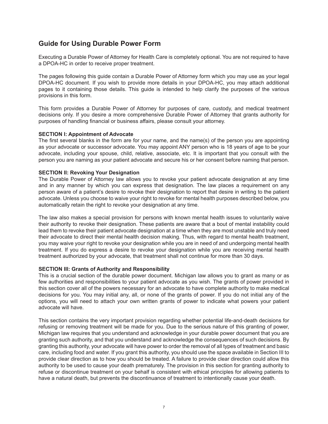## **Guide for Using Durable Power Form**

Executing a Durable Power of Attorney for Health Care is completely optional. You are not required to have a DPOA-HC in order to receive proper treatment.

The pages following this guide contain a Durable Power of Attorney form which you may use as your legal DPOA-HC document. If you wish to provide more details in your DPOA-HC, you may attach additional pages to it containing those details. This guide is intended to help clarify the purposes of the various provisions in this form.

This form provides a Durable Power of Attorney for purposes of care, custody, and medical treatment decisions only. If you desire a more comprehensive Durable Power of Attorney that grants authority for purposes of handling financial or business affairs, please consult your attorney.

#### **SECTION I: Appointment of Advocate**

The first several blanks in the form are for your name, and the name(s) of the person you are appointing as your advocate or successor advocate. You may appoint ANY person who is 18 years of age to be your advocate, including your spouse, child, relative, associate, etc. It is important that you consult with the person you are naming as your patient advocate and secure his or her consent before naming that person.

#### **SECTION II: Revoking Your Designation**

The Durable Power of Attorney law allows you to revoke your patient advocate designation at any time and in any manner by which you can express that designation. The law places a requirement on any person aware of a patient's desire to revoke their designation to report that desire in writing to the patient advocate. Unless you choose to waive your right to revoke for mental health purposes described below, you automatically retain the right to revoke your designation at any time.

The law also makes a special provision for persons with known mental health issues to voluntarily waive their authority to revoke their designation. These patients are aware that a bout of mental instability could lead them to revoke their patient advocate designation at a time when they are most unstable and truly need their advocate to direct their mental health decision making. Thus, with regard to mental health treatment, you may waive your right to revoke your designation while you are in need of and undergoing mental health treatment. If you do express a desire to revoke your designation while you are receiving mental health treatment authorized by your advocate, that treatment shall not continue for more than 30 days.

#### **SECTION III: Grants of Authority and Responsibility**

This is a crucial section of the durable power document. Michigan law allows you to grant as many or as few authorities and responsibilities to your patient advocate as you wish. The grants of power provided in this section cover all of the powers necessary for an advocate to have complete authority to make medical decisions for you. You may initial any, all, or none of the grants of power. If you do not initial any of the options, you will need to attach your own written grants of power to indicate what powers your patient advocate will have.

This section contains the very important provision regarding whether potential life-and-death decisions for refusing or removing treatment will be made for you. Due to the serious nature of this granting of power, Michigan law requires that you understand and acknowledge in your durable power document that you are granting such authority, and that you understand and acknowledge the consequences of such decisions. By granting this authority, your advocate will have power to order the removal of all types of treatment and basic care, including food and water. If you grant this authority, you should use the space available in Section III to provide clear direction as to how you should be treated. A failure to provide clear direction could allow this authority to be used to cause your death prematurely. The provision in this section for granting authority to refuse or discontinue treatment on your behalf is consistent with ethical principles for allowing patients to have a natural death, but prevents the discontinuance of treatment to intentionally cause your death.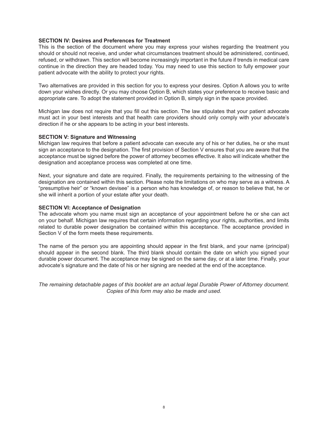#### **SECTION IV: Desires and Preferences for Treatment**

This is the section of the document where you may express your wishes regarding the treatment you should or should not receive, and under what circumstances treatment should be administered, continued, refused, or withdrawn. This section will become increasingly important in the future if trends in medical care continue in the direction they are headed today. You may need to use this section to fully empower your patient advocate with the ability to protect your rights.

Two alternatives are provided in this section for you to express your desires. Option A allows you to write down your wishes directly. Or you may choose Option B, which states your preference to receive basic and appropriate care. To adopt the statement provided in Option B, simply sign in the space provided.

Michigan law does not require that you fill out this section. The law stipulates that your patient advocate must act in your best interests and that health care providers should only comply with your advocate's direction if he or she appears to be acting in your best interests.

#### **SECTION V: Signature and Witnessing**

Michigan law requires that before a patient advocate can execute any of his or her duties, he or she must sign an acceptance to the designation. The first provision of Section V ensures that you are aware that the acceptance must be signed before the power of attorney becomes effective. It also will indicate whether the designation and acceptance process was completed at one time.

Next, your signature and date are required. Finally, the requirements pertaining to the witnessing of the designation are contained within this section. Please note the limitations on who may serve as a witness. A "presumptive heir" or "known devisee" is a person who has knowledge of, or reason to believe that, he or she will inherit a portion of your estate after your death.

#### **SECTION VI: Acceptance of Designation**

The advocate whom you name must sign an acceptance of your appointment before he or she can act on your behalf. Michigan law requires that certain information regarding your rights, authorities, and limits related to durable power designation be contained within this acceptance. The acceptance provided in Section V of the form meets these requirements.

The name of the person you are appointing should appear in the first blank, and your name (principal) should appear in the second blank. The third blank should contain the date on which you signed your durable power document. The acceptance may be signed on the same day, or at a later time. Finally, your advocate's signature and the date of his or her signing are needed at the end of the acceptance.

*The remaining detachable pages of this booklet are an actual legal Durable Power of Attorney document. Copies of this form may also be made and used.*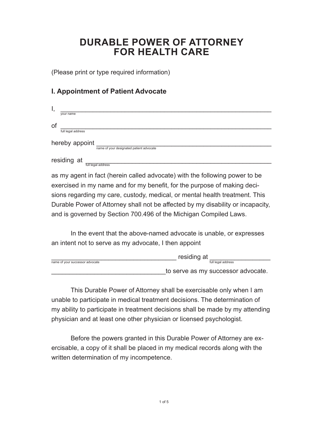## **DURABLE POWER OF ATTORNEY FOR HEALTH CARE**

(Please print or type required information)

## **I. Appointment of Patient Advocate**

| в,             |                                          |  |  |  |  |  |
|----------------|------------------------------------------|--|--|--|--|--|
|                | your name                                |  |  |  |  |  |
| of             |                                          |  |  |  |  |  |
|                | full legal address                       |  |  |  |  |  |
| hereby appoint |                                          |  |  |  |  |  |
|                | name of your designated patient advocate |  |  |  |  |  |
|                | residing at                              |  |  |  |  |  |
|                | full legal address                       |  |  |  |  |  |

as my agent in fact (herein called advocate) with the following power to be exercised in my name and for my benefit, for the purpose of making decisions regarding my care, custody, medical, or mental health treatment. This Durable Power of Attorney shall not be affected by my disability or incapacity, and is governed by Section 700.496 of the Michigan Compiled Laws.

In the event that the above-named advocate is unable, or expresses an intent not to serve as my advocate, I then appoint

|                                 | residing at                        |  |
|---------------------------------|------------------------------------|--|
| name of your successor advocate | full legal address                 |  |
|                                 | to serve as my successor advocate. |  |

This Durable Power of Attorney shall be exercisable only when I am unable to participate in medical treatment decisions. The determination of my ability to participate in treatment decisions shall be made by my attending physician and at least one other physician or licensed psychologist.

Before the powers granted in this Durable Power of Attorney are exercisable, a copy of it shall be placed in my medical records along with the written determination of my incompetence.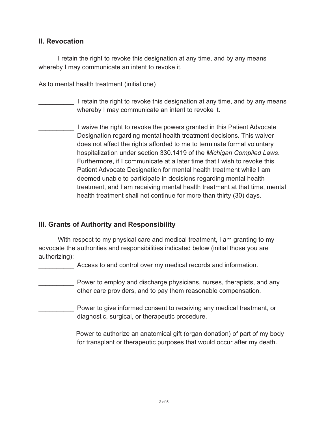## **II. Revocation**

I retain the right to revoke this designation at any time, and by any means whereby I may communicate an intent to revoke it.

As to mental health treatment (initial one)

## I retain the right to revoke this designation at any time, and by any means whereby I may communicate an intent to revoke it.

I waive the right to revoke the powers granted in this Patient Advocate Designation regarding mental health treatment decisions. This waiver does not affect the rights afforded to me to terminate formal voluntary hospitalization under section 330.1419 of the *Michigan Compiled Laws*. Furthermore, if I communicate at a later time that I wish to revoke this Patient Advocate Designation for mental health treatment while I am deemed unable to participate in decisions regarding mental health treatment, and I am receiving mental health treatment at that time, mental health treatment shall not continue for more than thirty (30) days.

## **III. Grants of Authority and Responsibility**

With respect to my physical care and medical treatment, I am granting to my advocate the authorities and responsibilities indicated below (initial those you are authorizing):

Access to and control over my medical records and information.

- Power to employ and discharge physicians, nurses, therapists, and any other care providers, and to pay them reasonable compensation.
- Power to give informed consent to receiving any medical treatment, or diagnostic, surgical, or therapeutic procedure.
- Power to authorize an anatomical gift (organ donation) of part of my body for transplant or therapeutic purposes that would occur after my death.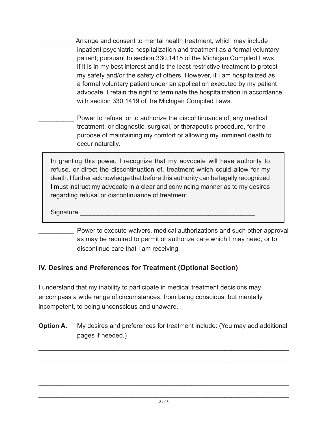Arrange and consent to mental health treatment, which may include inpatient psychiatric hospitalization and treatment as a formal voluntary patient, pursuant to section 330.1415 of the Michigan Compiled Laws, if it is in my best interest and is the least restrictive treatment to protect my safety and/or the safety of others. However, if I am hospitalized as a formal voluntary patient under an application executed by my patient advocate, I retain the right to terminate the hospitalization in accordance with section 330.1419 of the Michigan Compiled Laws.

Power to refuse, or to authorize the discontinuance of, any medical treatment, or diagnostic, surgical, or therapeutic procedure, for the purpose of maintaining my comfort or allowing my imminent death to occur naturally.

In granting this power, I recognize that my advocate will have authority to refuse, or direct the discontinuation of, treatment which could allow for my death. I further acknowledge that before this authority can be legally recognized I must instruct my advocate in a clear and convincing manner as to my desires regarding refusal or discontinuance of treatment.

Signature

Power to execute waivers, medical authorizations and such other approval as may be required to permit or authorize care which I may need, or to discontinue care that I am receiving.

## **IV. Desires and Preferences for Treatment (Optional Section)**

I understand that my inability to participate in medical treatment decisions may encompass a wide range of circumstances, from being conscious, but mentally incompetent, to being unconscious and unaware.

**Option A.** My desires and preferences for treatment include: (You may add additional pages if needed.)

\_\_\_\_\_\_\_\_\_\_\_\_\_\_\_\_\_\_\_\_\_\_\_\_\_\_\_\_\_\_\_\_\_\_\_\_\_\_\_\_\_\_\_\_\_\_\_\_\_\_\_\_\_\_\_\_\_\_\_\_\_\_\_\_\_\_\_\_\_\_

\_\_\_\_\_\_\_\_\_\_\_\_\_\_\_\_\_\_\_\_\_\_\_\_\_\_\_\_\_\_\_\_\_\_\_\_\_\_\_\_\_\_\_\_\_\_\_\_\_\_\_\_\_\_\_\_\_\_\_\_\_\_\_\_\_\_\_\_\_\_

\_\_\_\_\_\_\_\_\_\_\_\_\_\_\_\_\_\_\_\_\_\_\_\_\_\_\_\_\_\_\_\_\_\_\_\_\_\_\_\_\_\_\_\_\_\_\_\_\_\_\_\_\_\_\_\_\_\_\_\_\_\_\_\_\_\_\_\_\_\_

\_\_\_\_\_\_\_\_\_\_\_\_\_\_\_\_\_\_\_\_\_\_\_\_\_\_\_\_\_\_\_\_\_\_\_\_\_\_\_\_\_\_\_\_\_\_\_\_\_\_\_\_\_\_\_\_\_\_\_\_\_\_\_\_\_\_\_\_\_\_\_\_\_\_\_\_\_\_\_\_\_\_\_\_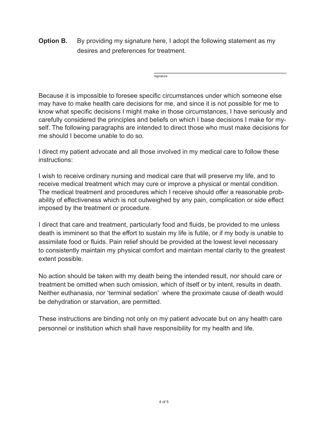**Option B.** By providing my signature here, I adopt the following statement as my desires and preferences for treatment.

 $\overline{\phantom{a}}$  , which is a set of the set of the set of the set of the set of the set of the set of the set of the set of the set of the set of the set of the set of the set of the set of the set of the set of the set of th signature

Because it is impossible to foresee specific circumstances under which someone else may have to make health care decisions for me, and since it is not possible for me to know what specific decisions I might make in those circumstances, I have seriously and carefully considered the principles and beliefs on which I base decisions I make for myself. The following paragraphs are intended to direct those who must make decisions for me should I become unable to do so.

I direct my patient advocate and all those involved in my medical care to follow these instructions:

I wish to receive ordinary nursing and medical care that will preserve my life, and to receive medical treatment which may cure or improve a physical or mental condition. The medical treatment and procedures which I receive should offer a reasonable probability of effectiveness which is not outweighed by any pain, complication or side effect imposed by the treatment or procedure.

I direct that care and treatment, particularly food and fluids, be provided to me unless death is imminent so that the effort to sustain my life is futile, or if my body is unable to assimilate food or fluids. Pain relief should be provided at the lowest level necessary to consistently maintain my physical comfort and maintain mental clarity to the greatest extent possible.

No action should be taken with my death being the intended result, nor should care or treatment be omitted when such omission, which of itself or by intent, results in death. Neither euthanasia, nor 'terminal sedation' where the proximate cause of death would be dehydration or starvation, are permitted.

These instructions are binding not only on my patient advocate but on any health care personnel or institution which shall have responsibility for my health and life.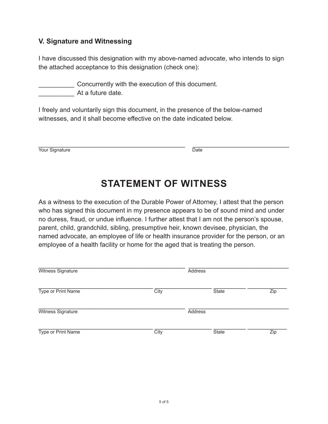## **V. Signature and Witnessing**

I have discussed this designation with my above-named advocate, who intends to sign the attached acceptance to this designation (check one):

\_\_\_\_\_\_\_\_\_\_ Concurrently with the execution of this document.

At a future date.

I freely and voluntarily sign this document, in the presence of the below-named witnesses, and it shall become effective on the date indicated below.

\_\_\_\_\_\_\_\_\_\_\_\_\_\_\_\_\_\_\_\_\_\_\_\_\_\_\_\_\_\_\_\_\_\_\_\_\_\_\_\_\_ \_\_\_\_\_\_\_\_\_\_\_\_\_\_\_\_\_\_\_\_\_\_\_\_\_\_\_ Your Signature Date

# **STATEMENT OF WITNESS**

As a witness to the execution of the Durable Power of Attorney, I attest that the person who has signed this document in my presence appears to be of sound mind and under no duress, fraud, or undue influence. I further attest that I am not the person's spouse, parent, child, grandchild, sibling, presumptive heir, known devisee, physician, the named advocate, an employee of life or health insurance provider for the person, or an employee of a health facility or home for the aged that is treating the person.

| Witness Signature        |      | <b>Address</b> |     |
|--------------------------|------|----------------|-----|
| Type or Print Name       | City | State          | Zip |
| <b>Witness Signature</b> |      | <b>Address</b> |     |
| Type or Print Name       | City | State          | Zip |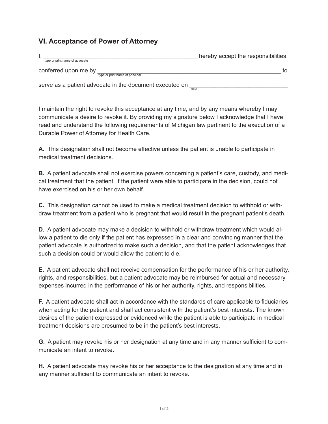## **VI. Acceptance of Power of Attorney**

| type or print name of advocate |                                                                 | hereby accept the responsibilities |
|--------------------------------|-----------------------------------------------------------------|------------------------------------|
| conferred upon me by           | type or print name of principal                                 | to                                 |
|                                | serve as a patient advocate in the document executed on<br>date |                                    |

I maintain the right to revoke this acceptance at any time, and by any means whereby I may communicate a desire to revoke it. By providing my signature below I acknowledge that I have read and understand the following requirements of Michigan law pertinent to the execution of a Durable Power of Attorney for Health Care.

**A.** This designation shall not become effective unless the patient is unable to participate in medical treatment decisions.

**B.** A patient advocate shall not exercise powers concerning a patient's care, custody, and medical treatment that the patient, if the patient were able to participate in the decision, could not have exercised on his or her own behalf.

**C.** This designation cannot be used to make a medical treatment decision to withhold or withdraw treatment from a patient who is pregnant that would result in the pregnant patient's death.

**D.** A patient advocate may make a decision to withhold or withdraw treatment which would allow a patient to die only if the patient has expressed in a clear and convincing manner that the patient advocate is authorized to make such a decision, and that the patient acknowledges that such a decision could or would allow the patient to die.

**E.** A patient advocate shall not receive compensation for the performance of his or her authority, rights, and responsibilities, but a patient advocate may be reimbursed for actual and necessary expenses incurred in the performance of his or her authority, rights, and responsibilities.

**F.** A patient advocate shall act in accordance with the standards of care applicable to fiduciaries when acting for the patient and shall act consistent with the patient's best interests. The known desires of the patient expressed or evidenced while the patient is able to participate in medical treatment decisions are presumed to be in the patient's best interests.

**G.** A patient may revoke his or her designation at any time and in any manner sufficient to communicate an intent to revoke.

**H.** A patient advocate may revoke his or her acceptance to the designation at any time and in any manner sufficient to communicate an intent to revoke.